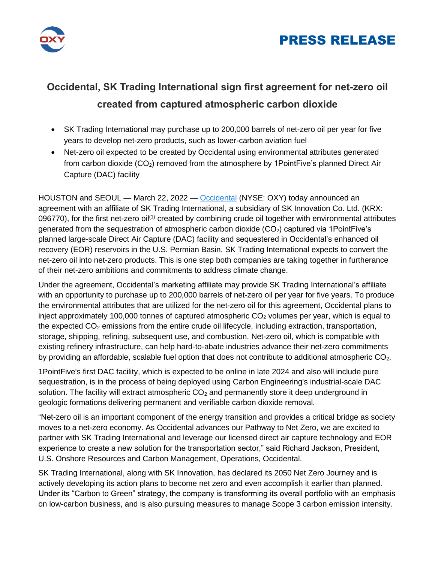



# **Occidental, SK Trading International sign first agreement for net-zero oil created from captured atmospheric carbon dioxide**

- SK Trading International may purchase up to 200,000 barrels of net-zero oil per year for five years to develop net-zero products, such as lower-carbon aviation fuel
- Net-zero oil expected to be created by Occidental using environmental attributes generated from carbon dioxide  $(CO_2)$  removed from the atmosphere by 1PointFive's planned Direct Air Capture (DAC) facility

HOUSTON and SEOUL — March 22, 2022 — [Occidental](http://www.oxy.com/) (NYSE: OXY) today announced an agreement with an affiliate of SK Trading International, a subsidiary of SK Innovation Co. Ltd. (KRX: 096770), for the first net-zero oil<sup>(1)</sup> created by combining crude oil together with environmental attributes generated from the sequestration of atmospheric carbon dioxide (CO<sub>2</sub>) captured via 1PointFive's planned large-scale Direct Air Capture (DAC) facility and sequestered in Occidental's enhanced oil recovery (EOR) reservoirs in the U.S. Permian Basin. SK Trading International expects to convert the net-zero oil into net-zero products. This is one step both companies are taking together in furtherance of their net-zero ambitions and commitments to address climate change.

Under the agreement, Occidental's marketing affiliate may provide SK Trading International's affiliate with an opportunity to purchase up to 200,000 barrels of net-zero oil per year for five years. To produce the environmental attributes that are utilized for the net-zero oil for this agreement, Occidental plans to inject approximately 100,000 tonnes of captured atmospheric  $CO<sub>2</sub>$  volumes per year, which is equal to the expected  $CO<sub>2</sub>$  emissions from the entire crude oil lifecycle, including extraction, transportation, storage, shipping, refining, subsequent use, and combustion. Net-zero oil, which is compatible with existing refinery infrastructure, can help hard-to-abate industries advance their net-zero commitments by providing an affordable, scalable fuel option that does not contribute to additional atmospheric  $CO<sub>2</sub>$ .

1PointFive's first DAC facility, which is expected to be online in late 2024 and also will include pure sequestration, is in the process of being deployed using Carbon Engineering's industrial-scale DAC solution. The facility will extract atmospheric  $CO<sub>2</sub>$  and permanently store it deep underground in geologic formations delivering permanent and verifiable carbon dioxide removal.

"Net-zero oil is an important component of the energy transition and provides a critical bridge as society moves to a net-zero economy. As Occidental advances our Pathway to Net Zero, we are excited to partner with SK Trading International and leverage our licensed direct air capture technology and EOR experience to create a new solution for the transportation sector," said Richard Jackson, President, U.S. Onshore Resources and Carbon Management, Operations, Occidental.

SK Trading International, along with SK Innovation, has declared its 2050 Net Zero Journey and is actively developing its action plans to become net zero and even accomplish it earlier than planned. Under its "Carbon to Green" strategy, the company is transforming its overall portfolio with an emphasis on low-carbon business, and is also pursuing measures to manage Scope 3 carbon emission intensity.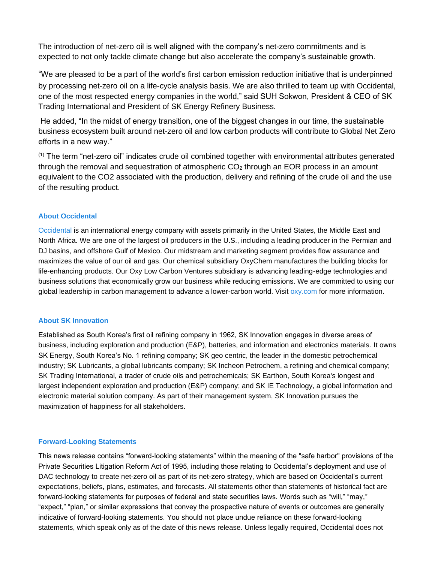The introduction of net-zero oil is well aligned with the company's net-zero commitments and is expected to not only tackle climate change but also accelerate the company's sustainable growth.

"We are pleased to be a part of the world's first carbon emission reduction initiative that is underpinned by processing net-zero oil on a life-cycle analysis basis. We are also thrilled to team up with Occidental, one of the most respected energy companies in the world," said SUH Sokwon, President & CEO of SK Trading International and President of SK Energy Refinery Business.

He added, "In the midst of energy transition, one of the biggest changes in our time, the sustainable business ecosystem built around net-zero oil and low carbon products will contribute to Global Net Zero efforts in a new way."

 $<sup>(1)</sup>$  The term "net-zero oil" indicates crude oil combined together with environmental attributes generated</sup> through the removal and sequestration of atmospheric  $CO<sub>2</sub>$  through an EOR process in an amount equivalent to the CO2 associated with the production, delivery and refining of the crude oil and the use of the resulting product.

### **About Occidental**

[Occidental](http://www.oxy.com/) is an international energy company with assets primarily in the United States, the Middle East and North Africa. We are one of the largest oil producers in the U.S., including a leading producer in the Permian and DJ basins, and offshore Gulf of Mexico. Our midstream and marketing segment provides flow assurance and maximizes the value of our oil and gas. Our chemical subsidiary OxyChem manufactures the building blocks for life-enhancing products. Our Oxy Low Carbon Ventures subsidiary is advancing leading-edge technologies and business solutions that economically grow our business while reducing emissions. We are committed to using our global leadership in carbon management to advance a lower-carbon world. Visit [oxy.com](http://www.oxy.com/) for more information.

### **About SK Innovation**

Established as South Korea's first oil refining company in 1962, SK Innovation engages in diverse areas of business, including exploration and production (E&P), batteries, and information and electronics materials. It owns SK Energy, South Korea's No. 1 refining company; SK geo centric, the leader in the domestic petrochemical industry; SK Lubricants, a global lubricants company; SK Incheon Petrochem, a refining and chemical company; SK Trading International, a trader of crude oils and petrochemicals; SK Earthon, South Korea's longest and largest independent exploration and production (E&P) company; and SK IE Technology, a global information and electronic material solution company. As part of their management system, SK Innovation pursues the maximization of happiness for all stakeholders.

### **Forward-Looking Statements**

This news release contains "forward-looking statements" within the meaning of the "safe harbor" provisions of the Private Securities Litigation Reform Act of 1995, including those relating to Occidental's deployment and use of DAC technology to create net-zero oil as part of its net-zero strategy, which are based on Occidental's current expectations, beliefs, plans, estimates, and forecasts. All statements other than statements of historical fact are forward-looking statements for purposes of federal and state securities laws. Words such as "will," "may," "expect," "plan," or similar expressions that convey the prospective nature of events or outcomes are generally indicative of forward-looking statements. You should not place undue reliance on these forward-looking statements, which speak only as of the date of this news release. Unless legally required, Occidental does not